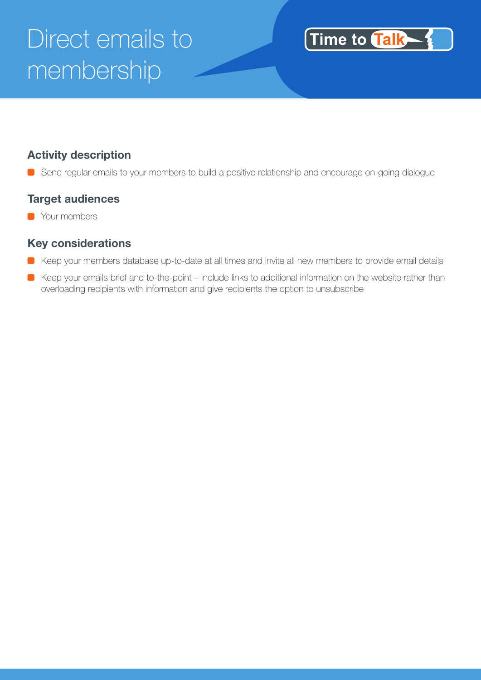# Direct emails to membership



#### **Activity description**

Send regular emails to your members to build a positive relationship and encourage on-going dialogue

#### **Target audiences**

**C** Your members

#### **Key considerations**

- Keep your members database up-to-date at all times and invite all new members to provide email details
- Keep your emails brief and to-the-point include links to additional information on the website rather than overloading recipients with information and give recipients the option to unsubscribe